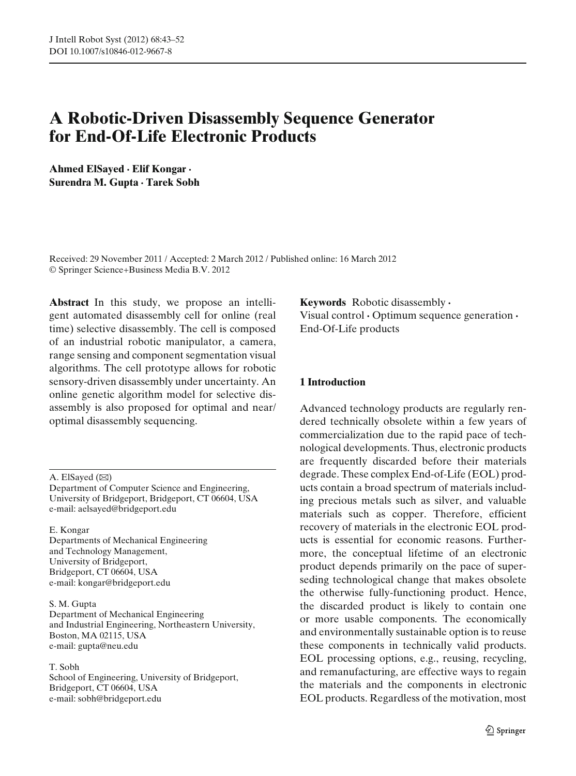# **A Robotic-Driven Disassembly Sequence Generator for End-Of-Life Electronic Products**

**Ahmed ElSayed · Elif Kongar · Surendra M. Gupta · Tarek Sobh**

Received: 29 November 2011 / Accepted: 2 March 2012 / Published online: 16 March 2012 © Springer Science+Business Media B.V. 2012

**Abstract** In this study, we propose an intelligent automated disassembly cell for online (real time) selective disassembly. The cell is composed of an industrial robotic manipulator, a camera, range sensing and component segmentation visual algorithms. The cell prototype allows for robotic sensory-driven disassembly under uncertainty. An online genetic algorithm model for selective disassembly is also proposed for optimal and near/ optimal disassembly sequencing.

A. ElSayed  $(\boxtimes)$ 

Department of Computer Science and Engineering, University of Bridgeport, Bridgeport, CT 06604, USA e-mail: aelsayed@bridgeport.edu

#### E. Kongar

Departments of Mechanical Engineering and Technology Management, University of Bridgeport, Bridgeport, CT 06604, USA e-mail: kongar@bridgeport.edu

#### S. M. Gupta

Department of Mechanical Engineering and Industrial Engineering, Northeastern University, Boston, MA 02115, USA e-mail: gupta@neu.edu

#### T. Sobh

School of Engineering, University of Bridgeport, Bridgeport, CT 06604, USA e-mail: sobh@bridgeport.edu

**Keywords** Robotic disassembly **·** Visual control **·** Optimum sequence generation **·** End-Of-Life products

## **1 Introduction**

Advanced technology products are regularly rendered technically obsolete within a few years of commercialization due to the rapid pace of technological developments. Thus, electronic products are frequently discarded before their materials degrade. These complex End-of-Life (EOL) products contain a broad spectrum of materials including precious metals such as silver, and valuable materials such as copper. Therefore, efficient recovery of materials in the electronic EOL products is essential for economic reasons. Furthermore, the conceptual lifetime of an electronic product depends primarily on the pace of superseding technological change that makes obsolete the otherwise fully-functioning product. Hence, the discarded product is likely to contain one or more usable components. The economically and environmentally sustainable option is to reuse these components in technically valid products. EOL processing options, e.g., reusing, recycling, and remanufacturing, are effective ways to regain the materials and the components in electronic EOL products. Regardless of the motivation, most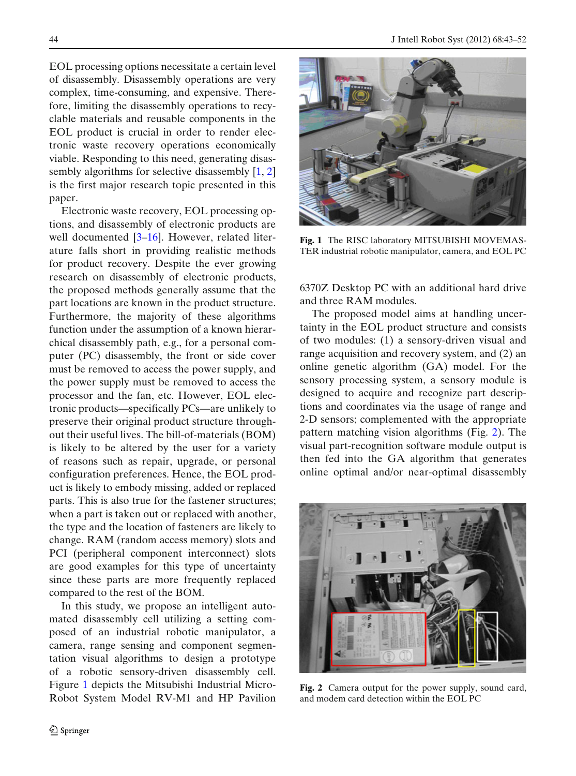EOL processing options necessitate a certain level of disassembly. Disassembly operations are very complex, time-consuming, and expensive. Therefore, limiting the disassembly operations to recyclable materials and reusable components in the EOL product is crucial in order to render electronic waste recovery operations economically viable. Responding to this need, generating disassembly algorithms for selective disassembly [\[1](#page-8-0), [2\]](#page-8-0) is the first major research topic presented in this paper.

Electronic waste recovery, EOL processing options, and disassembly of electronic products are well documented [\[3–16\]](#page-8-0). However, related literature falls short in providing realistic methods for product recovery. Despite the ever growing research on disassembly of electronic products, the proposed methods generally assume that the part locations are known in the product structure. Furthermore, the majority of these algorithms function under the assumption of a known hierarchical disassembly path, e.g., for a personal computer (PC) disassembly, the front or side cover must be removed to access the power supply, and the power supply must be removed to access the processor and the fan, etc. However, EOL electronic products—specifically PCs—are unlikely to preserve their original product structure throughout their useful lives. The bill-of-materials (BOM) is likely to be altered by the user for a variety of reasons such as repair, upgrade, or personal configuration preferences. Hence, the EOL product is likely to embody missing, added or replaced parts. This is also true for the fastener structures; when a part is taken out or replaced with another, the type and the location of fasteners are likely to change. RAM (random access memory) slots and PCI (peripheral component interconnect) slots are good examples for this type of uncertainty since these parts are more frequently replaced compared to the rest of the BOM.

In this study, we propose an intelligent automated disassembly cell utilizing a setting composed of an industrial robotic manipulator, a camera, range sensing and component segmentation visual algorithms to design a prototype of a robotic sensory-driven disassembly cell. Figure 1 depicts the Mitsubishi Industrial Micro-Robot System Model RV-M1 and HP Pavilion



**Fig. 1** The RISC laboratory MITSUBISHI MOVEMAS-TER industrial robotic manipulator, camera, and EOL PC

6370Z Desktop PC with an additional hard drive and three RAM modules.

The proposed model aims at handling uncertainty in the EOL product structure and consists of two modules: (1) a sensory-driven visual and range acquisition and recovery system, and (2) an online genetic algorithm (GA) model. For the sensory processing system, a sensory module is designed to acquire and recognize part descriptions and coordinates via the usage of range and 2-D sensors; complemented with the appropriate pattern matching vision algorithms (Fig. 2). The visual part-recognition software module output is then fed into the GA algorithm that generates online optimal and/or near-optimal disassembly



**Fig. 2** Camera output for the power supply, sound card, and modem card detection within the EOL PC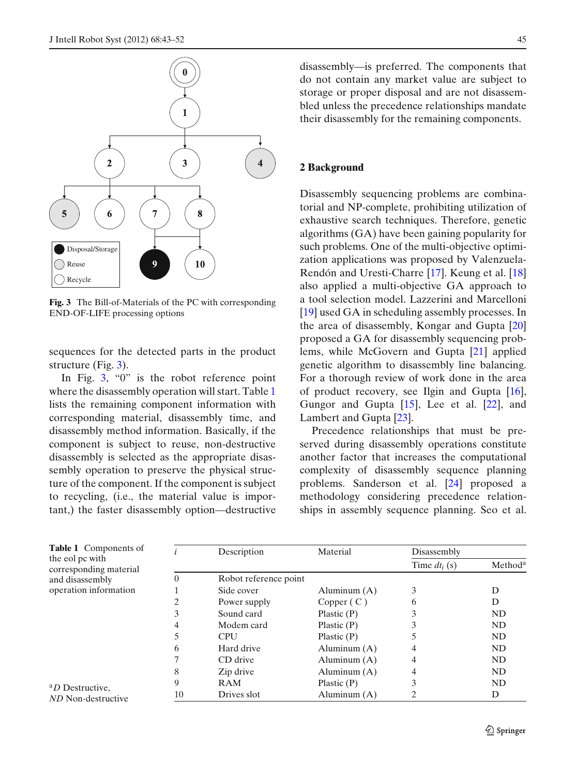

**Fig. 3** The Bill-of-Materials of the PC with corresponding END-OF-LIFE processing options

sequences for the detected parts in the product structure (Fig. 3).

In Fig. 3, "0" is the robot reference point where the disassembly operation will start. Table 1 lists the remaining component information with corresponding material, disassembly time, and disassembly method information. Basically, if the component is subject to reuse, non-destructive disassembly is selected as the appropriate disassembly operation to preserve the physical structure of the component. If the component is subject to recycling, (i.e., the material value is important,) the faster disassembly option—destructive disassembly—is preferred. The components that do not contain any market value are subject to storage or proper disposal and are not disassembled unless the precedence relationships mandate their disassembly for the remaining components.

#### **2 Background**

Disassembly sequencing problems are combinatorial and NP-complete, prohibiting utilization of exhaustive search techniques. Therefore, genetic algorithms (GA) have been gaining popularity for such problems. One of the multi-objective optimization applications was proposed by Valenzuela-Rendón and Uresti-Charre [\[17\]](#page-8-0). Keung et al. [\[18\]](#page-8-0) also applied a multi-objective GA approach to a tool selection model. Lazzerini and Marcelloni [\[19](#page-8-0)] used GA in scheduling assembly processes. In the area of disassembly, Kongar and Gupta [\[20\]](#page-8-0) proposed a GA for disassembly sequencing problems, while McGovern and Gupta [\[21\]](#page-8-0) applied genetic algorithm to disassembly line balancing. For a thorough review of work done in the area of product recovery, see Ilgin and Gupta [\[16](#page-8-0)], Gungor and Gupta [\[15\]](#page-8-0), Lee et al. [\[22](#page-9-0)], and Lambert and Gupta [\[23](#page-9-0)].

Precedence relationships that must be preserved during disassembly operations constitute another factor that increases the computational complexity of disassembly sequence planning problems. Sanderson et al. [\[24](#page-9-0)] proposed a methodology considering precedence relationships in assembly sequence planning. Seo et al.

| <b>Table 1</b> Components of              |    | Description           | Material       | Disassembly     |                     |
|-------------------------------------------|----|-----------------------|----------------|-----------------|---------------------|
| the eol pc with<br>corresponding material |    |                       |                | Time $dt_i$ (s) | Method <sup>a</sup> |
| and disassembly                           | 0  | Robot reference point |                |                 |                     |
| operation information                     |    | Side cover            | Aluminum $(A)$ | 3               | D                   |
|                                           |    | Power supply          | Copper $(C)$   | 6               | D                   |
|                                           | 3  | Sound card            | Plastic $(P)$  |                 | <b>ND</b>           |
| <sup>a</sup> D Destructive,               | 4  | Modem card            | Plastic $(P)$  |                 | <b>ND</b>           |
|                                           |    | <b>CPU</b>            | Plastic $(P)$  |                 | <b>ND</b>           |
|                                           | 6  | Hard drive            | Aluminum $(A)$ |                 | N <sub>D</sub>      |
|                                           |    | CD drive              | Aluminum $(A)$ | 4               | <b>ND</b>           |
|                                           | 8  | Zip drive             | Aluminum $(A)$ | 4               | <b>ND</b>           |
|                                           | 9  | <b>RAM</b>            | Plastic $(P)$  | 3               | <b>ND</b>           |
| ND Non-destructive                        | 10 | Drives slot           | Aluminum $(A)$ | 2               | D                   |

 $\underline{\textcircled{\tiny 2}}$  Springer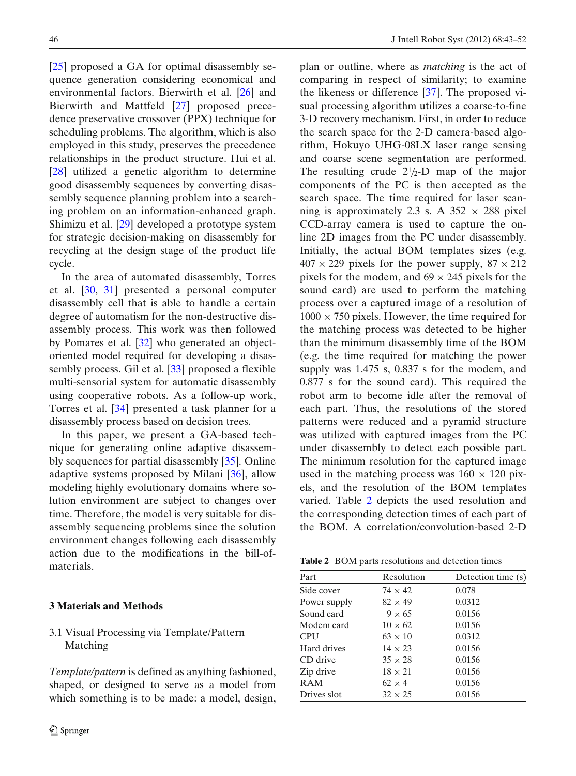[\[25](#page-9-0)] proposed a GA for optimal disassembly sequence generation considering economical and environmental factors. Bierwirth et al. [\[26](#page-9-0)] and Bierwirth and Mattfeld [\[27\]](#page-9-0) proposed precedence preservative crossover (PPX) technique for scheduling problems. The algorithm, which is also employed in this study, preserves the precedence relationships in the product structure. Hui et al. [\[28](#page-9-0)] utilized a genetic algorithm to determine good disassembly sequences by converting disassembly sequence planning problem into a searching problem on an information-enhanced graph. Shimizu et al. [\[29\]](#page-9-0) developed a prototype system for strategic decision-making on disassembly for recycling at the design stage of the product life cycle.

In the area of automated disassembly, Torres et al. [\[30](#page-9-0), [31\]](#page-9-0) presented a personal computer disassembly cell that is able to handle a certain degree of automatism for the non-destructive disassembly process. This work was then followed by Pomares et al. [\[32\]](#page-9-0) who generated an objectoriented model required for developing a disassembly process. Gil et al. [\[33](#page-9-0)] proposed a flexible multi-sensorial system for automatic disassembly using cooperative robots. As a follow-up work, Torres et al. [\[34](#page-9-0)] presented a task planner for a disassembly process based on decision trees.

In this paper, we present a GA-based technique for generating online adaptive disassembly sequences for partial disassembly [\[35\]](#page-9-0). Online adaptive systems proposed by Milani [\[36](#page-9-0)], allow modeling highly evolutionary domains where solution environment are subject to changes over time. Therefore, the model is very suitable for disassembly sequencing problems since the solution environment changes following each disassembly action due to the modifications in the bill-ofmaterials.

## **3 Materials and Methods**

3.1 Visual Processing via Template/Pattern Matching

*Template/pattern* is defined as anything fashioned, shaped, or designed to serve as a model from which something is to be made: a model, design, plan or outline, where as *matching* is the act of comparing in respect of similarity; to examine the likeness or difference [\[37\]](#page-9-0). The proposed visual processing algorithm utilizes a coarse-to-fine 3-D recovery mechanism. First, in order to reduce the search space for the 2-D camera-based algorithm, Hokuyo UHG-08LX laser range sensing and coarse scene segmentation are performed. The resulting crude  $2^{1}/2$ -D map of the major components of the PC is then accepted as the search space. The time required for laser scanning is approximately 2.3 s. A  $352 \times 288$  pixel CCD-array camera is used to capture the online 2D images from the PC under disassembly. Initially, the actual BOM templates sizes (e.g.  $407 \times 229$  pixels for the power supply,  $87 \times 212$ pixels for the modem, and  $69 \times 245$  pixels for the sound card) are used to perform the matching process over a captured image of a resolution of  $1000 \times 750$  pixels. However, the time required for the matching process was detected to be higher than the minimum disassembly time of the BOM (e.g. the time required for matching the power supply was 1.475 s, 0.837 s for the modem, and 0.877 s for the sound card). This required the robot arm to become idle after the removal of each part. Thus, the resolutions of the stored patterns were reduced and a pyramid structure was utilized with captured images from the PC under disassembly to detect each possible part. The minimum resolution for the captured image used in the matching process was  $160 \times 120$  pixels, and the resolution of the BOM templates varied. Table 2 depicts the used resolution and the corresponding detection times of each part of the BOM. A correlation/convolution-based 2-D

| <b>Table 2</b> BOM parts resolutions and detection times |
|----------------------------------------------------------|
|----------------------------------------------------------|

| Part         | Resolution     | Detection time (s) |
|--------------|----------------|--------------------|
| Side cover   | $74 \times 42$ | 0.078              |
| Power supply | $82 \times 49$ | 0.0312             |
| Sound card   | $9 \times 65$  | 0.0156             |
| Modem card   | $10 \times 62$ | 0.0156             |
| <b>CPU</b>   | $63 \times 10$ | 0.0312             |
| Hard drives  | $14 \times 23$ | 0.0156             |
| CD drive     | $35 \times 28$ | 0.0156             |
| Zip drive    | $18 \times 21$ | 0.0156             |
| <b>RAM</b>   | $62 \times 4$  | 0.0156             |
| Drives slot  | $32 \times 25$ | 0.0156             |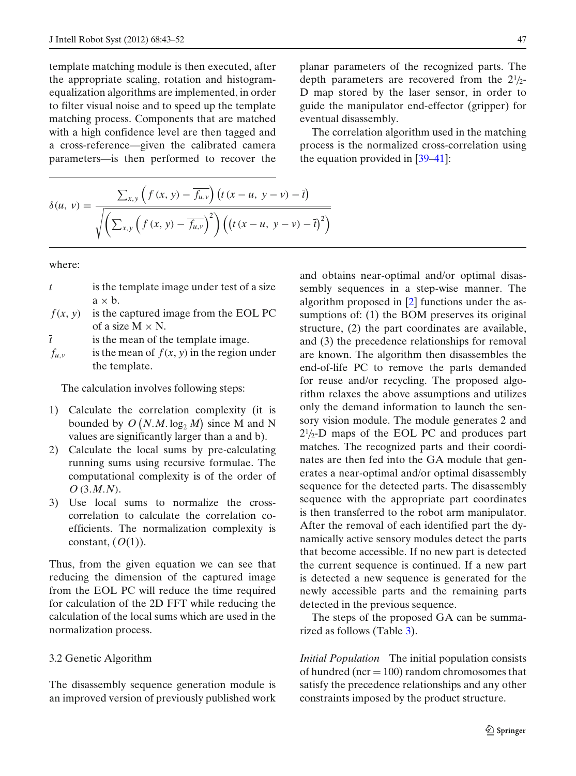template matching module is then executed, after the appropriate scaling, rotation and histogramequalization algorithms are implemented, in order to filter visual noise and to speed up the template matching process. Components that are matched with a high confidence level are then tagged and a cross-reference—given the calibrated camera parameters—is then performed to recover the

$$
\delta(u, v) = \frac{\sum_{x,y} \left( f(x, y) - \overline{f_{u,v}} \right) \left( t \left( x - u, y - v \right) - \overline{t} \right)}{\sqrt{\left( \sum_{x,y} \left( f(x, y) - \overline{f_{u,v}} \right)^2 \right) \left( \left( t \left( x - u, y - v \right) - \overline{t} \right)^2 \right)}}
$$

where:

- *t* is the template image under test of a size  $a \times b$ .
- $f(x, y)$  is the captured image from the EOL PC of a size  $M \times N$ .
- $\bar{t}$  is the mean of the template image.
- $f_{u,v}$  is the mean of  $f(x, y)$  in the region under the template.

The calculation involves following steps:

- 1) Calculate the correlation complexity (it is bounded by  $O(N.M. \log_2 M)$  since M and N values are significantly larger than a and b).
- 2) Calculate the local sums by pre-calculating running sums using recursive formulae. The computational complexity is of the order of *O* (3.*M*.*N*).
- 3) Use local sums to normalize the crosscorrelation to calculate the correlation coefficients. The normalization complexity is constant,  $(O(1))$ .

Thus, from the given equation we can see that reducing the dimension of the captured image from the EOL PC will reduce the time required for calculation of the 2D FFT while reducing the calculation of the local sums which are used in the normalization process.

### 3.2 Genetic Algorithm

The disassembly sequence generation module is an improved version of previously published work planar parameters of the recognized parts. The depth parameters are recovered from the  $2\frac{1}{2}$ -D map stored by the laser sensor, in order to guide the manipulator end-effector (gripper) for eventual disassembly.

The correlation algorithm used in the matching process is the normalized cross-correlation using the equation provided in [\[39–41\]](#page-9-0):

and obtains near-optimal and/or optimal disassembly sequences in a step-wise manner. The algorithm proposed in [\[2](#page-8-0)] functions under the assumptions of: (1) the BOM preserves its original structure, (2) the part coordinates are available, and (3) the precedence relationships for removal are known. The algorithm then disassembles the end-of-life PC to remove the parts demanded for reuse and/or recycling. The proposed algorithm relaxes the above assumptions and utilizes only the demand information to launch the sensory vision module. The module generates 2 and  $2\frac{1}{2}$ -D maps of the EOL PC and produces part matches. The recognized parts and their coordinates are then fed into the GA module that generates a near-optimal and/or optimal disassembly sequence for the detected parts. The disassembly sequence with the appropriate part coordinates is then transferred to the robot arm manipulator. After the removal of each identified part the dynamically active sensory modules detect the parts that become accessible. If no new part is detected the current sequence is continued. If a new part is detected a new sequence is generated for the newly accessible parts and the remaining parts detected in the previous sequence.

The steps of the proposed GA can be summarized as follows (Table [3\)](#page-5-0).

*Initial Population* The initial population consists of hundred ( $ncr = 100$ ) random chromosomes that satisfy the precedence relationships and any other constraints imposed by the product structure.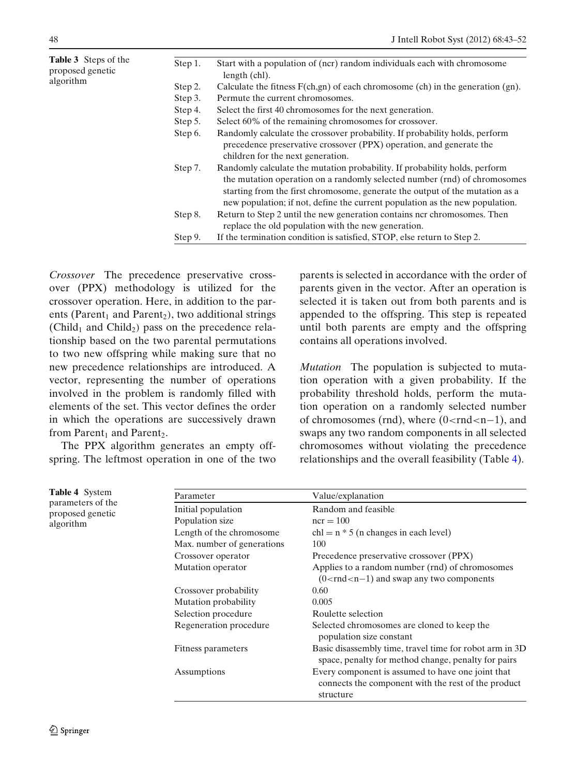<span id="page-5-0"></span>

| <b>Table 3</b> Steps of the<br>proposed genetic<br>algorithm | Step 1. | Start with a population of (ncr) random individuals each with chromosome<br>length (chl).                                                                                                                                                                                                                               |  |
|--------------------------------------------------------------|---------|-------------------------------------------------------------------------------------------------------------------------------------------------------------------------------------------------------------------------------------------------------------------------------------------------------------------------|--|
|                                                              | Step 2. | Calculate the fitness $F(ch,gn)$ of each chromosome (ch) in the generation (gn).                                                                                                                                                                                                                                        |  |
|                                                              | Step 3. | Permute the current chromosomes.                                                                                                                                                                                                                                                                                        |  |
|                                                              | Step 4. | Select the first 40 chromosomes for the next generation.                                                                                                                                                                                                                                                                |  |
|                                                              | Step 5. | Select 60% of the remaining chromosomes for crossover.                                                                                                                                                                                                                                                                  |  |
|                                                              | Step 6. | Randomly calculate the crossover probability. If probability holds, perform<br>precedence preservative crossover (PPX) operation, and generate the<br>children for the next generation.                                                                                                                                 |  |
|                                                              | Step 7. | Randomly calculate the mutation probability. If probability holds, perform<br>the mutation operation on a randomly selected number (rnd) of chromosomes<br>starting from the first chromosome, generate the output of the mutation as a<br>new population; if not, define the current population as the new population. |  |
|                                                              | Step 8. | Return to Step 2 until the new generation contains ncr chromosomes. Then<br>replace the old population with the new generation.                                                                                                                                                                                         |  |
|                                                              | Step 9. | If the termination condition is satisfied, STOP, else return to Step 2.                                                                                                                                                                                                                                                 |  |

*Crossover* The precedence preservative crossover (PPX) methodology is utilized for the crossover operation. Here, in addition to the parents (Parent<sub>1</sub> and Parent<sub>2</sub>), two additional strings  $(Child<sub>1</sub>$  and Child<sub>2</sub>) pass on the precedence relationship based on the two parental permutations to two new offspring while making sure that no new precedence relationships are introduced. A vector, representing the number of operations involved in the problem is randomly filled with elements of the set. This vector defines the order in which the operations are successively drawn from Parent<sub>1</sub> and Parent<sub>2</sub>.

The PPX algorithm generates an empty offspring. The leftmost operation in one of the two parents is selected in accordance with the order of parents given in the vector. After an operation is selected it is taken out from both parents and is appended to the offspring. This step is repeated until both parents are empty and the offspring contains all operations involved.

*Mutation* The population is subjected to mutation operation with a given probability. If the probability threshold holds, perform the mutation operation on a randomly selected number of chromosomes (rnd), where (0<rnd<n−1), and swaps any two random components in all selected chromosomes without violating the precedence relationships and the overall feasibility (Table 4).

| Table 4 System<br>parameters of the<br>proposed genetic<br>algorithm | Parameter                  | Value/explanation                                                                                                     |  |
|----------------------------------------------------------------------|----------------------------|-----------------------------------------------------------------------------------------------------------------------|--|
|                                                                      | Initial population         | Random and feasible                                                                                                   |  |
|                                                                      | Population size            | $ncr = 100$                                                                                                           |  |
|                                                                      | Length of the chromosome   | $chl = n * 5$ (n changes in each level)                                                                               |  |
|                                                                      | Max. number of generations | 100                                                                                                                   |  |
|                                                                      | Crossover operator         | Precedence preservative crossover (PPX)                                                                               |  |
|                                                                      | Mutation operator          | Applies to a random number (rnd) of chromosomes<br>$(0\leq$ rnd $\leq$ n $-1)$ and swap any two components            |  |
|                                                                      | Crossover probability      | 0.60                                                                                                                  |  |
|                                                                      | Mutation probability       | 0.005                                                                                                                 |  |
|                                                                      | Selection procedure        | Roulette selection                                                                                                    |  |
|                                                                      | Regeneration procedure     | Selected chromosomes are cloned to keep the<br>population size constant                                               |  |
|                                                                      | Fitness parameters         | Basic disassembly time, travel time for robot arm in 3D<br>space, penalty for method change, penalty for pairs        |  |
|                                                                      | Assumptions                | Every component is assumed to have one joint that<br>connects the component with the rest of the product<br>structure |  |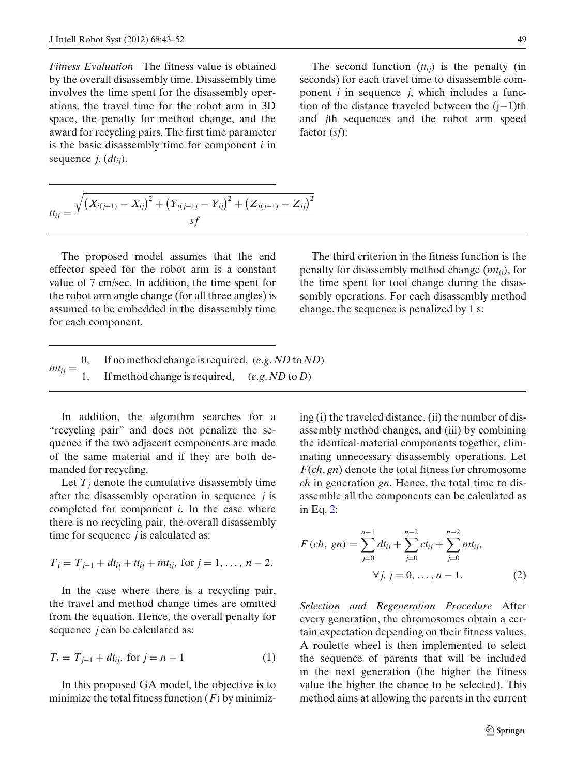*Fitness Evaluation* The fitness value is obtained by the overall disassembly time. Disassembly time involves the time spent for the disassembly operations, the travel time for the robot arm in 3D space, the penalty for method change, and the award for recycling pairs. The first time parameter is the basic disassembly time for component *i* in sequence *j*, (*dtij*).

$$
tt_{ij} = \frac{\sqrt{(X_{i(j-1)} - X_{ij})^2 + (Y_{i(j-1)} - Y_{ij})^2 + (Z_{i(j-1)} - Z_{ij})^2}}{sf}
$$

The proposed model assumes that the end effector speed for the robot arm is a constant value of 7 cm/sec. In addition, the time spent for the robot arm angle change (for all three angles) is assumed to be embedded in the disassembly time for each component.

The third criterion in the fitness function is the penalty for disassembly method change (*mtij*), for the time spent for tool change during the disassembly operations. For each disassembly method change, the sequence is penalized by 1 s:

| $mt_{ii} =$ | If no method change is required, $(e.g. ND to ND)$ |
|-------------|----------------------------------------------------|
|             | If method change is required,<br>(e.g. ND to D)    |

In addition, the algorithm searches for a "recycling pair" and does not penalize the sequence if the two adjacent components are made of the same material and if they are both demanded for recycling.

Let  $T_i$  denote the cumulative disassembly time after the disassembly operation in sequence *j* is completed for component *i*. In the case where there is no recycling pair, the overall disassembly time for sequence *j* is calculated as:

$$
T_j = T_{j-1} + dt_{ij} + tt_{ij} + mt_{ij}
$$
, for  $j = 1, ..., n-2$ .

In the case where there is a recycling pair, the travel and method change times are omitted from the equation. Hence, the overall penalty for sequence *j* can be calculated as:

$$
T_i = T_{j-1} + dt_{ij}, \text{ for } j = n - 1 \tag{1}
$$

In this proposed GA model, the objective is to minimize the total fitness function  $(F)$  by minimizing (i) the traveled distance, (ii) the number of disassembly method changes, and (iii) by combining the identical-material components together, eliminating unnecessary disassembly operations. Let *F*(*ch*, *gn*) denote the total fitness for chromosome *ch* in generation *gn*. Hence, the total time to disassemble all the components can be calculated as in Eq. 2:

$$
F (ch, gn) = \sum_{j=0}^{n-1} dt_{ij} + \sum_{j=0}^{n-2} ct_{ij} + \sum_{j=0}^{n-2} mt_{ij},
$$
  

$$
\forall j, j = 0, ..., n-1.
$$
 (2)

*Selection and Regeneration Procedure* After every generation, the chromosomes obtain a certain expectation depending on their fitness values. A roulette wheel is then implemented to select the sequence of parents that will be included in the next generation (the higher the fitness value the higher the chance to be selected). This method aims at allowing the parents in the current

The second function  $(t_{ij})$  is the penalty (in seconds) for each travel time to disassemble component *i* in sequence *j*, which includes a function of the distance traveled between the (j−1)th and *j*th sequences and the robot arm speed factor (*sf*):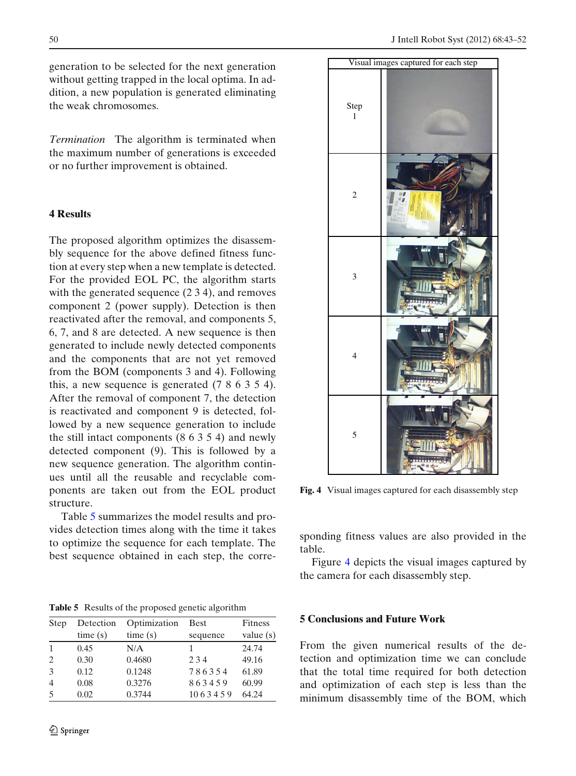generation to be selected for the next generation without getting trapped in the local optima. In addition, a new population is generated eliminating the weak chromosomes.

*Termination* The algorithm is terminated when the maximum number of generations is exceeded or no further improvement is obtained.

## **4 Results**

The proposed algorithm optimizes the disassembly sequence for the above defined fitness function at every step when a new template is detected. For the provided EOL PC, the algorithm starts with the generated sequence (2 3 4), and removes component 2 (power supply). Detection is then reactivated after the removal, and components 5, 6, 7, and 8 are detected. A new sequence is then generated to include newly detected components and the components that are not yet removed from the BOM (components 3 and 4). Following this, a new sequence is generated (7 8 6 3 5 4). After the removal of component 7, the detection is reactivated and component 9 is detected, followed by a new sequence generation to include the still intact components (8 6 3 5 4) and newly detected component (9). This is followed by a new sequence generation. The algorithm continues until all the reusable and recyclable components are taken out from the EOL product structure.

Table 5 summarizes the model results and provides detection times along with the time it takes to optimize the sequence for each template. The best sequence obtained in each step, the corre-

**Table 5** Results of the proposed genetic algorithm

| Step           | Detection | Optimization | <b>Best</b> | <b>Fitness</b> |
|----------------|-----------|--------------|-------------|----------------|
|                | time(s)   | time(s)      | sequence    | value $(s)$    |
| 1              | 0.45      | N/A          |             | 24.74          |
| $\mathcal{L}$  | 0.30      | 0.4680       | 2.34        | 49.16          |
| 3              | 0.12      | 0.1248       | 786354      | 61.89          |
| $\overline{4}$ | 0.08      | 0.3276       | 863459      | 60.99          |
| 5              | 0.02      | 0.3744       | 1063459     | 64.24          |



**Fig. 4** Visual images captured for each disassembly step

sponding fitness values are also provided in the table.

Figure 4 depicts the visual images captured by the camera for each disassembly step.

### **5 Conclusions and Future Work**

From the given numerical results of the detection and optimization time we can conclude that the total time required for both detection and optimization of each step is less than the minimum disassembly time of the BOM, which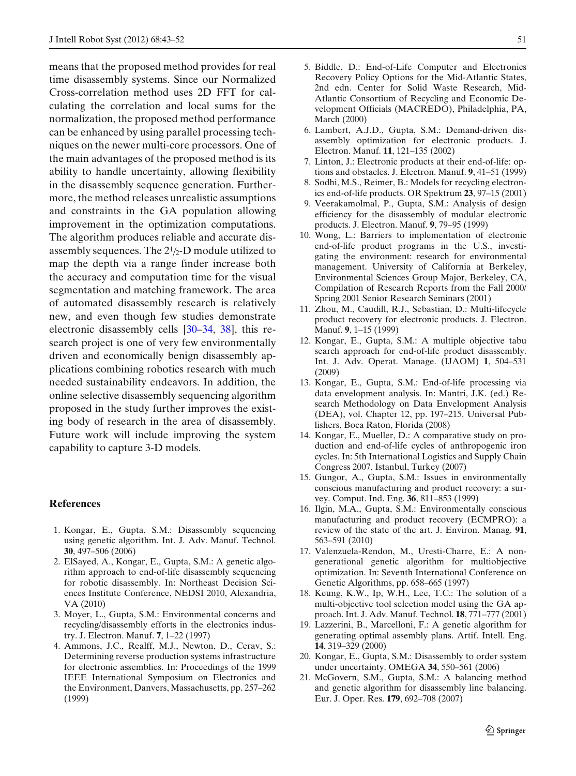<span id="page-8-0"></span>means that the proposed method provides for real time disassembly systems. Since our Normalized Cross-correlation method uses 2D FFT for calculating the correlation and local sums for the normalization, the proposed method performance can be enhanced by using parallel processing techniques on the newer multi-core processors. One of the main advantages of the proposed method is its ability to handle uncertainty, allowing flexibility in the disassembly sequence generation. Furthermore, the method releases unrealistic assumptions and constraints in the GA population allowing improvement in the optimization computations. The algorithm produces reliable and accurate disassembly sequences. The  $2<sup>1</sup>/2$ -D module utilized to map the depth via a range finder increase both the accuracy and computation time for the visual segmentation and matching framework. The area of automated disassembly research is relatively new, and even though few studies demonstrate electronic disassembly cells [\[30–34](#page-9-0), [38](#page-9-0)], this research project is one of very few environmentally driven and economically benign disassembly applications combining robotics research with much needed sustainability endeavors. In addition, the online selective disassembly sequencing algorithm proposed in the study further improves the existing body of research in the area of disassembly. Future work will include improving the system capability to capture 3-D models.

## **References**

- 1. Kongar, E., Gupta, S.M.: Disassembly sequencing using genetic algorithm. Int. J. Adv. Manuf. Technol. **30**, 497–506 (2006)
- 2. ElSayed, A., Kongar, E., Gupta, S.M.: A genetic algorithm approach to end-of-life disassembly sequencing for robotic disassembly. In: Northeast Decision Sciences Institute Conference, NEDSI 2010, Alexandria, VA (2010)
- 3. Moyer, L., Gupta, S.M.: Environmental concerns and recycling/disassembly efforts in the electronics industry. J. Electron. Manuf. **7**, 1–22 (1997)
- 4. Ammons, J.C., Realff, M.J., Newton, D., Cerav, S.: Determining reverse production systems infrastructure for electronic assemblies. In: Proceedings of the 1999 IEEE International Symposium on Electronics and the Environment, Danvers, Massachusetts, pp. 257–262 (1999)
- 5. Biddle, D.: End-of-Life Computer and Electronics Recovery Policy Options for the Mid-Atlantic States, 2nd edn. Center for Solid Waste Research, Mid-Atlantic Consortium of Recycling and Economic Development Officials (MACREDO), Philadelphia, PA, March (2000)
- 6. Lambert, A.J.D., Gupta, S.M.: Demand-driven disassembly optimization for electronic products. J. Electron. Manuf. **11**, 121–135 (2002)
- 7. Linton, J.: Electronic products at their end-of-life: options and obstacles. J. Electron. Manuf. **9**, 41–51 (1999)
- 8. Sodhi, M.S., Reimer, B.: Models for recycling electronics end-of-life products. OR Spektrum **23**, 97–15 (2001)
- 9. Veerakamolmal, P., Gupta, S.M.: Analysis of design efficiency for the disassembly of modular electronic products. J. Electron. Manuf. **9**, 79–95 (1999)
- 10. Wong, L.: Barriers to implementation of electronic end-of-life product programs in the U.S., investigating the environment: research for environmental management. University of California at Berkeley, Environmental Sciences Group Major, Berkeley, CA, Compilation of Research Reports from the Fall 2000/ Spring 2001 Senior Research Seminars (2001)
- 11. Zhou, M., Caudill, R.J., Sebastian, D.: Multi-lifecycle product recovery for electronic products. J. Electron. Manuf. **9**, 1–15 (1999)
- 12. Kongar, E., Gupta, S.M.: A multiple objective tabu search approach for end-of-life product disassembly. Int. J. Adv. Operat. Manage. (IJAOM) **1**, 504–531 (2009)
- 13. Kongar, E., Gupta, S.M.: End-of-life processing via data envelopment analysis. In: Mantri, J.K. (ed.) Research Methodology on Data Envelopment Analysis (DEA), vol. Chapter 12, pp. 197–215. Universal Publishers, Boca Raton, Florida (2008)
- 14. Kongar, E., Mueller, D.: A comparative study on production and end-of-life cycles of anthropogenic iron cycles. In: 5th International Logistics and Supply Chain Congress 2007, Istanbul, Turkey (2007)
- 15. Gungor, A., Gupta, S.M.: Issues in environmentally conscious manufacturing and product recovery: a survey. Comput. Ind. Eng. **36**, 811–853 (1999)
- 16. Ilgin, M.A., Gupta, S.M.: Environmentally conscious manufacturing and product recovery (ECMPRO): a review of the state of the art. J. Environ. Manag. **91**, 563–591 (2010)
- 17. Valenzuela-Rendon, M., Uresti-Charre, E.: A nongenerational genetic algorithm for multiobjective optimization. In: Seventh International Conference on Genetic Algorithms, pp. 658–665 (1997)
- 18. Keung, K.W., Ip, W.H., Lee, T.C.: The solution of a multi-objective tool selection model using the GA approach. Int. J. Adv. Manuf. Technol. **18**, 771–777 (2001)
- 19. Lazzerini, B., Marcelloni, F.: A genetic algorithm for generating optimal assembly plans. Artif. Intell. Eng. **14**, 319–329 (2000)
- 20. Kongar, E., Gupta, S.M.: Disassembly to order system under uncertainty. OMEGA **34**, 550–561 (2006)
- 21. McGovern, S.M., Gupta, S.M.: A balancing method and genetic algorithm for disassembly line balancing. Eur. J. Oper. Res. **179**, 692–708 (2007)